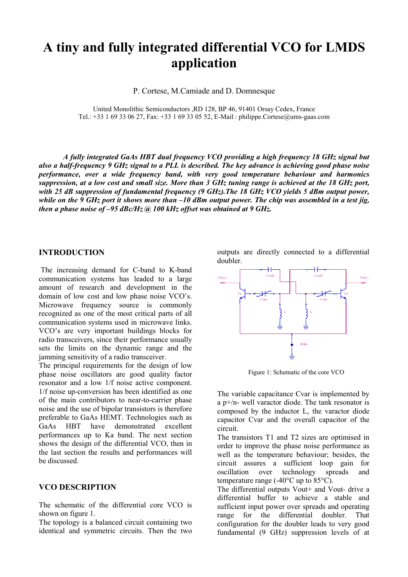# **A tiny and fully integrated differential VCO for LMDS application**

P. Cortese, M.Camiade and D. Domnesque

United Monolithic Semiconductors ,RD 128, BP 46, 91401 Orsay Cedex, France Tel.: +33 1 69 33 06 27, Fax: +33 1 69 33 05 52, E-Mail : philippe.Cortese@ums-gaas.com

*A fully integrated GaAs HBT dual frequency VCO providing a high frequency 18 GHz signal but also a half-frequency 9 GHz signal to a PLL is described. The key advance is achieving good phase noise performance, over a wide frequency band, with very good temperature behaviour and harmonics suppression, at a low cost and small size. More than 3 GHz tuning range is achieved at the 18 GHz port, with 25 dB suppression of fundamental frequency (9 GHz).The 18 GHz VCO yields 5 dBm output power, while on the 9 GHz port it shows more than –10 dBm output power. The chip was assembled in a test jig, then a phase noise of –95 dBc/Hz @ 100 kHz offset was obtained at 9 GHz.* 

## **INTRODUCTION**

The increasing demand for C-band to K-band communication systems has leaded to a large amount of research and development in the domain of low cost and low phase noise VCO's. Microwave frequency source is commonly recognized as one of the most critical parts of all communication systems used in microwave links. VCO's are very important buildings blocks for radio transceivers, since their performance usually sets the limits on the dynamic range and the jamming sensitivity of a radio transceiver.

The principal requirements for the design of low phase noise oscillators are good quality factor resonator and a low 1/f noise active component. 1/f noise up-conversion has been identified as one of the main contributors to near-to-carrier phase noise and the use of bipolar transistors is therefore preferable to GaAs HEMT. Technologies such as GaAs HBT have demonstrated excellent performances up to Ka band. The next section shows the design of the differential VCO, then in the last section the results and performances will be discussed.

#### **VCO DESCRIPTION**

The schematic of the differential core VCO is shown on figure 1.

The topology is a balanced circuit containing two identical and symmetric circuits. Then the two

outputs are directly connected to a differential doubler.



Figure 1: Schematic of the core VCO

The variable capacitance Cvar is implemented by a p+/n- well varactor diode. The tank resonator is composed by the inductor L, the varactor diode capacitor Cvar and the overall capacitor of the circuit.

The transistors T1 and T2 sizes are optimised in order to improve the phase noise performance as well as the temperature behaviour; besides, the circuit assures a sufficient loop gain for oscillation over technology spreads and temperature range  $(-40^{\circ}$ C up to  $85^{\circ}$ C).

The differential outputs Vout+ and Vout- drive a differential buffer to achieve a stable and sufficient input power over spreads and operating range for the differential doubler. That configuration for the doubler leads to very good fundamental (9 GHz) suppression levels of at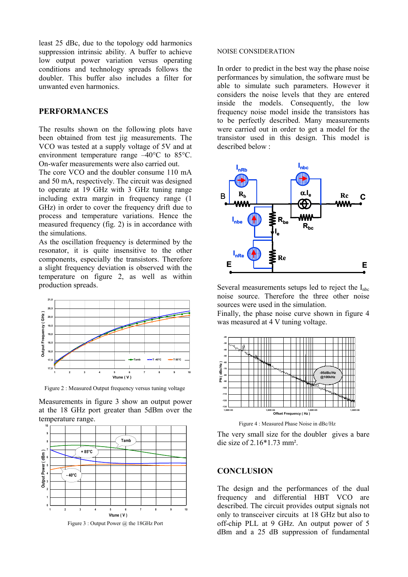least 25 dBc, due to the topology odd harmonics suppression intrinsic ability. A buffer to achieve low output power variation versus operating conditions and technology spreads follows the doubler. This buffer also includes a filter for unwanted even harmonics.

# **PERFORMANCES**

The results shown on the following plots have been obtained from test jig measurements. The VCO was tested at a supply voltage of 5V and at environment temperature range –40°C to 85°C. On-wafer measurements were also carried out.

The core VCO and the doubler consume 110 mA and 50 mA, respectively. The circuit was designed to operate at 19 GHz with 3 GHz tuning range including extra margin in frequency range (1 GHz) in order to cover the frequency drift due to process and temperature variations. Hence the measured frequency (fig. 2) is in accordance with the simulations.

As the oscillation frequency is determined by the resonator, it is quite insensitive to the other components, especially the transistors. Therefore a slight frequency deviation is observed with the temperature on figure 2, as well as within production spreads.



Figure 2 : Measured Output frequency versus tuning voltage

Measurements in figure 3 show an output power at the 18 GHz port greater than 5dBm over the temperature range.



#### NOISE CONSIDERATION

In order to predict in the best way the phase noise performances by simulation, the software must be able to simulate such parameters. However it considers the noise levels that they are entered inside the models. Consequently, the low frequency noise model inside the transistors has to be perfectly described. Many measurements were carried out in order to get a model for the transistor used in this design. This model is described below :



Several measurements setups led to reject the  $I_{\text{hbc}}$ noise source. Therefore the three other noise sources were used in the simulation.

Finally, the phase noise curve shown in figure 4 was measured at 4 V tuning voltage.



Figure 4 : Measured Phase Noise in dBc/Hz

The very small size for the doubler gives a bare die size of 2.16\*1.73 mm².

### **CONCLUSION**

The design and the performances of the dual frequency and differential HBT VCO are described. The circuit provides output signals not only to transceiver circuits at 18 GHz but also to off-chip PLL at 9 GHz. An output power of 5 dBm and a 25 dB suppression of fundamental